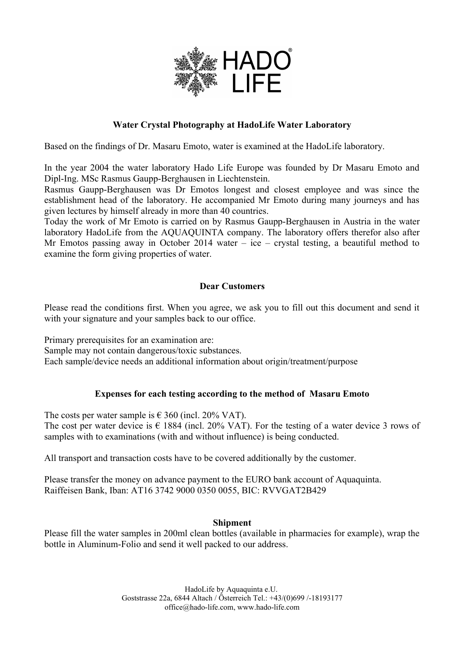

# **Water Crystal Photography at HadoLife Water Laboratory**

Based on the findings of Dr. Masaru Emoto, water is examined at the HadoLife laboratory.

In the year 2004 the water laboratory Hado Life Europe was founded by Dr Masaru Emoto and Dipl-Ing. MSc Rasmus Gaupp-Berghausen in Liechtenstein.

Rasmus Gaupp-Berghausen was Dr Emotos longest and closest employee and was since the establishment head of the laboratory. He accompanied Mr Emoto during many journeys and has given lectures by himself already in more than 40 countries.

Today the work of Mr Emoto is carried on by Rasmus Gaupp-Berghausen in Austria in the water laboratory HadoLife from the AQUAQUINTA company. The laboratory offers therefor also after Mr Emotos passing away in October 2014 water – ice – crystal testing, a beautiful method to examine the form giving properties of water.

## **Dear Customers**

Please read the conditions first. When you agree, we ask you to fill out this document and send it with your signature and your samples back to our office.

Primary prerequisites for an examination are:

Sample may not contain dangerous/toxic substances.

Each sample/device needs an additional information about origin/treatment/purpose

## **Expenses for each testing according to the method of Masaru Emoto**

The costs per water sample is  $\epsilon$  360 (incl. 20% VAT).

The cost per water device is  $\epsilon$  1884 (incl. 20% VAT). For the testing of a water device 3 rows of samples with to examinations (with and without influence) is being conducted.

All transport and transaction costs have to be covered additionally by the customer.

Please transfer the money on advance payment to the EURO bank account of Aquaquinta. Raiffeisen Bank, Iban: AT16 3742 9000 0350 0055, BIC: RVVGAT2B429

## **Shipment**

Please fill the water samples in 200ml clean bottles (available in pharmacies for example), wrap the bottle in Aluminum-Folio and send it well packed to our address.